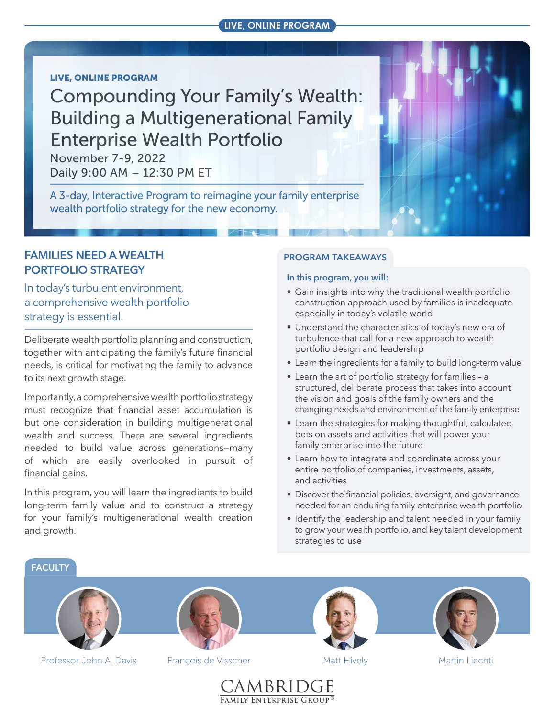#### **LIVE, ONLINE PROGRAM**

#### LIVE, ONLINE PROGRAM

# [Compounding Your Family's Wealth:](https://www.cfeg.com/wp22)  Building a Multigenerational Family Enterprise Wealth Portfolio

November 7-9, 2022 Daily 9:00 AM – 12:30 PM ET

A 3-day, Interactive Program to reimagine your family enterprise wealth portfolio strategy for the new economy.

## **FAMILIES NEED A WEALTH PORTFOLIO STRATEGY**

In today's turbulent environment, a comprehensive wealth portfolio strategy is essential.

Deliberate wealth portfolio planning and construction, together with anticipating the family's future financial needs, is critical for motivating the family to advance to its next growth stage.

Importantly, a comprehensive wealth portfolio strategy must recognize that financial asset accumulation is but one consideration in building multigenerational wealth and success. There are several ingredients needed to build value across generations—many of which are easily overlooked in pursuit of financial gains.

In this program, you will learn the ingredients to build long-term family value and to construct a strategy for your family's multigenerational wealth creation and growth.

#### **PROGRAM TAKEAWAYS**

#### **In this program, you will:**

- Gain insights into why the traditional wealth portfolio construction approach used by families is inadequate especially in today's volatile world
- Understand the characteristics of today's new era of turbulence that call for a new approach to wealth portfolio design and leadership
- Learn the ingredients for a family to build long-term value
- Learn the art of portfolio strategy for families a structured, deliberate process that takes into account the vision and goals of the family owners and the changing needs and environment of the family enterprise
- Learn the strategies for making thoughtful, calculated bets on assets and activities that will power your family enterprise into the future
- Learn how to integrate and coordinate across your entire portfolio of companies, investments, assets, and activities
- Discover the financial policies, oversight, and governance needed for an enduring family enterprise wealth portfolio
- Identify the leadership and talent needed in your family to grow your wealth portfolio, and key talent development strategies to use

**FACULTY**



Professor John A. Davis

François de Visscher Matt Hively





Martin Liechti